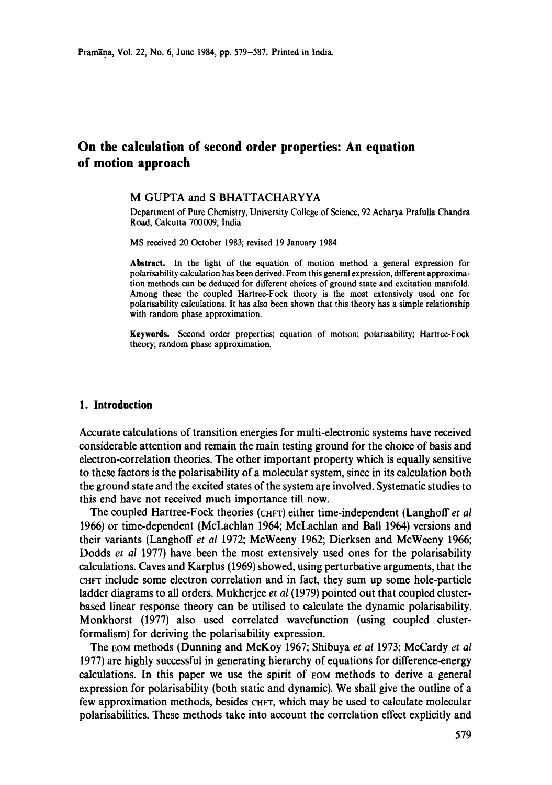# **On the calculation of second order properties: An equation of motion approach**

### **M** GUPTA and **S BHATTACHARYYA**

Department of Pure Chemistry, University College of Science, 92 Acharya Prafulla Chandra Road, Calcutta 700 009, India

MS received 20 October 1983; revised 19 January 1984

**Abstract.** In the light of the equation of motion method a general expression for polarisability calculation has been derived. From this general expression, different approximation methods can be deduced for different choices of ground state and excitation manifold. Among these the coupled Hartree-Fock theory is the most extensively used one for polarisability calculations. It has also been shown that this theory has a simple relationship with random phase approximation.

**Keywords.** Second order properties; equation of motion; polarisability; Hartree-Fock theory; random phase approximation.

# **1. Introduction**

Accurate calculations of transition energies for multi-electronic systems have received considerable attention and remain the main testing ground for the choice of basis and electron-correlation theories. The other important property which is equally sensitive to these factors is the polarisability of a molecular system, since in its calculation both the ground state and the excited states of the system are involved. Systematic studies to this end have not received much importance till now.

The coupled Hartree-Fock theories (CHFT) either time-independent (Langhoff *et al* 1966) or time-dependent (McLachlan 1964; McLachlan and Ball 1964) versions and their variants (Langhoff *et al* 1972; McWeeny 1962; Dierksen and McWeeny 1966; Dodds *et al* 1977) have been the most extensively used ones for the polarisability calculations. Caves and Karplus (1969) showed, using perturbative arguments, that the CHFT include some electron correlation and in fact, they sum up some hole-particle ladder diagrams to all orders. Mukherjee *et al* (1979) pointed out that coupled clusterbased linear response theory can be utilised to calculate the dynamic polarisability. Monkhorst (1977) also used correlated wavefunction (using coupled clusterformalism) for deriving the polarisability expression.

The EOM methods (Dunning and McKoy 1967; Shibuya *et al* 1973; McCardy *et al*  1977) are highly successful in generating hierarchy of equations for difference-energy calculations. In this paper we use the spirit of EOM methods to derive a general expression for polarisability (both static and dynamic). We shall give the outline of a few approximation methods, besides CHFT, which may be used to calculate molecular polarisabilities. These methods take into account the correlation effect explicitly and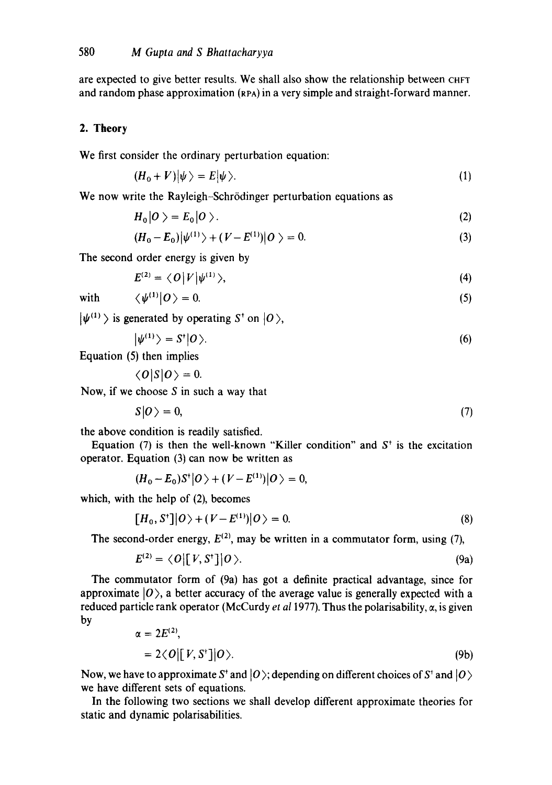are expected to give better results. We shall also show the relationship between CHFT and random phase approximation (RPA) in a very simple and straight-forward manner.

# 2. Theory

We first consider the ordinary perturbation equation:

$$
(H_0 + V)|\psi\rangle = E|\psi\rangle. \tag{1}
$$

We now write the Rayleigh-Schrödinger perturbation equations as

$$
H_0|O\rangle = E_0|O\rangle. \tag{2}
$$

$$
(H_0 - E_0)|\psi^{(1)}\rangle + (V - E^{(1)})|O\rangle = 0.
$$
\n(3)

The second order energy is given by

$$
E^{(2)} = \langle O | V | \psi^{(1)} \rangle, \tag{4}
$$

with  $\langle \psi^{(1)}|0\rangle = 0.$  (5)

 $|\psi^{(1)}\rangle$  is generated by operating S<sup>t</sup> on  $|0\rangle$ ,

$$
|\psi^{(1)}\rangle = S^{\dagger}|0\rangle. \tag{6}
$$

Equation (5) then implies

 $\langle O|S|O\rangle = 0$ .

Now, if we choose  $S$  in such a way that

$$
S|O\rangle = 0,\tag{7}
$$

the above condition is readily satisfied.

Equation (7) is then the well-known "Killer condition" and  $S<sup>+</sup>$  is the excitation operator. Equation (3) can now be written as

$$
(H_0 - E_0)S^{\dagger}|O\rangle + (V - E^{(1)})|O\rangle = 0,
$$

which, with the help of (2), becomes

$$
[H_0, S^*]|O\rangle + (V - E^{(1)})|O\rangle = 0.
$$
\n(8)

The second-order energy,  $E^{(2)}$ , may be written in a commutator form, using (7),

$$
E^{(2)} = \langle O | [V, S^{\dagger}] | O \rangle. \tag{9a}
$$

The commutator form of (9a) has got a definite practical advantage, since for approximate  $|0\rangle$ , a better accuracy of the average value is generally expected with a reduced particle rank operator (McCurdy *et al 1977*). Thus the polarisability,  $\alpha$ , is given by

$$
\alpha = 2E^{(2)},
$$
  
= 2 $\langle O| [V, S^+] | O \rangle$ . (9b)

Now, we have to approximate S<sup>t</sup> and  $|0\rangle$ ; depending on different choices of S<sup>t</sup> and  $|0\rangle$ we have different sets of equations.

In the following two sections we shall develop different approximate theories for static and dynamic polarisabilities.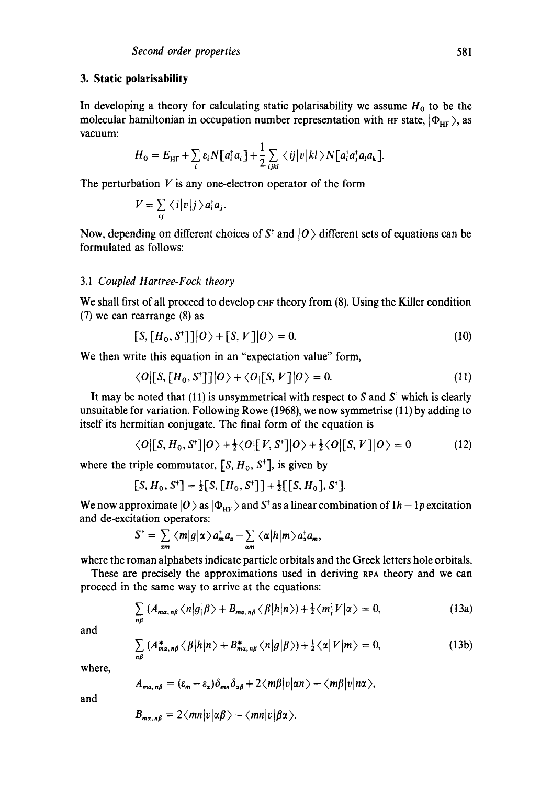# **3. Static polarisahility**

In developing a theory for calculating static polarisability we assume  $H_0$  to be the molecular hamiltonian in occupation number representation with HF state,  $|\Phi_{HF}\rangle$ , as vacuum:

$$
H_0 = E_{\rm HF} + \sum_i \varepsilon_i N[a_i^{\dagger} a_i] + \frac{1}{2} \sum_{ijkl} \langle ij | v | kl \rangle N[a_i^{\dagger} a_j^{\dagger} a_l a_k].
$$

The perturbation  $V$  is any one-electron operator of the form

$$
V = \sum_{ij} \langle i | v | j \rangle a_i^{\dagger} a_j.
$$

Now, depending on different choices of  $S<sup>†</sup>$  and  $|O>$  different sets of equations can be formulated as follows:

#### *3.1 Coupled Hartree-Fock theory*

We shall first of all proceed to develop CHF theory from (8). Using the Killer condition (7) we can rearrange (8) as

$$
[S, [H_0, S^*]] | O \rangle + [S, V] | O \rangle = 0. \tag{10}
$$

We then write this equation in an "expectation value" form,

$$
\langle O|[S, [H_0, S^*]]|O\rangle + \langle O|[S, V]|O\rangle = 0. \tag{11}
$$

It may be noted that (11) is unsymmetrical with respect to S and  $S<sup>†</sup>$  which is clearly unsuitable for variation. Following Rowe (1968), we now symmetrise (11) by adding to itself its hermitian conjugate. The final form of the equation is

$$
\langle O|[S, H_0, S^*]|O\rangle + \frac{1}{2}\langle O|[V, S^*]|O\rangle + \frac{1}{2}\langle O|[S, V]|O\rangle = 0
$$
 (12)

where the triple commutator,  $[S, H_0, S^{\dagger}]$ , is given by

$$
[S, H_0, S^+] = \frac{1}{2}[S, [H_0, S^+]] + \frac{1}{2}[[S, H_0], S^+].
$$

We now approximate  $|0\rangle$  as  $|\Phi_{HF}\rangle$  and S<sup>t</sup> as a linear combination of  $1h-1p$  excitation and de-excitation operators:

$$
S^{\dagger} = \sum_{\alpha m} \langle m|g|\alpha\rangle a_m^{\dagger} a_{\alpha} - \sum_{\alpha m} \langle \alpha|h|m\rangle a_{\alpha}^{\dagger} a_m,
$$

where the roman alphabets indicate particle orbitals and the Greek letters hole orbitals.

These are precisely the approximations used in deriving RPA theory and we can proceed in the same way to arrive at the equations:

$$
\sum_{n\beta} (A_{\max,n\beta} \langle n|g|\beta\rangle + B_{\max,n\beta} \langle \beta|h|n\rangle) + \frac{1}{2} \langle m|V|\alpha\rangle = 0, \qquad (13a)
$$

and

$$
\sum_{n\beta} \left( A_{m\alpha,n\beta}^* \langle \beta | h | n \rangle + B_{m\alpha,n\beta}^* \langle n | g | \beta \rangle \right) + \frac{1}{2} \langle \alpha | V | m \rangle = 0, \tag{13b}
$$

where,

$$
A_{ma,n\beta}=(\varepsilon_m-\varepsilon_\alpha)\delta_{mn}\delta_{\alpha\beta}+2\langle m\beta|v|an\rangle-\langle m\beta|v|n\alpha\rangle,
$$

and

$$
B_{m\alpha,n\beta}=2\langle mn|v|\alpha\beta\rangle-\langle mn|v|\beta\alpha\rangle.
$$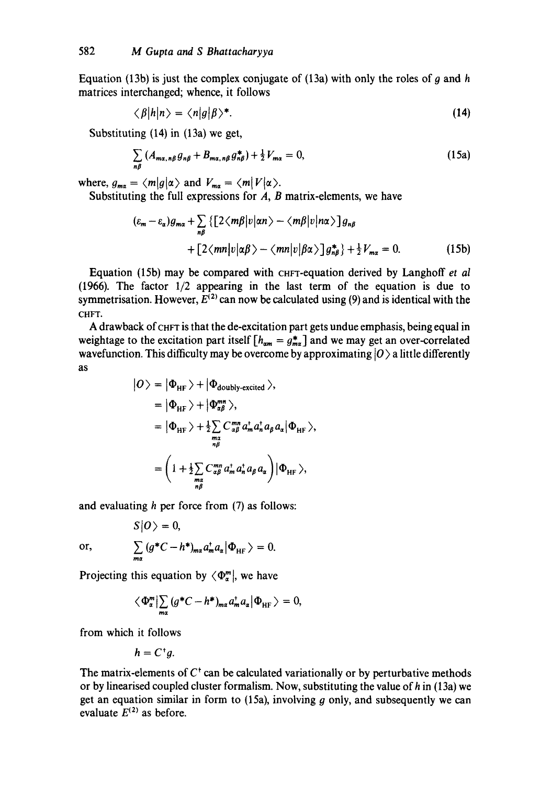Equation (13b) is just the complex conjugate of (13a) with only the roles of  $q$  and  $h$ matrices interchanged; whence, it follows

$$
\langle \beta | h | n \rangle = \langle n | g | \beta \rangle^*.
$$
 (14)

Substituting (14) in (13a) we get,

$$
\sum_{n\beta} \left( A_{m\alpha,n\beta} g_{n\beta} + B_{m\alpha,n\beta} g_{n\beta}^* \right) + \frac{1}{2} V_{m\alpha} = 0, \tag{15a}
$$

where,  $g_{\mathbf{m}\alpha} = \langle m|g|\alpha\rangle$  and  $V_{\mathbf{m}\alpha} = \langle m|V|\alpha\rangle$ .

Substituting the full expressions for  $A$ ,  $B$  matrix-elements, we have

$$
(\varepsilon_m - \varepsilon_\alpha) g_{m\alpha} + \sum_{n\beta} \left\{ \left[ 2\langle m\beta | v | \alpha n \rangle - \langle m\beta | v | n\alpha \rangle \right] g_{n\beta} \right. \\ \left. + \left[ 2\langle m n | v | \alpha \beta \rangle - \langle m n | v | \beta \alpha \rangle \right] g_{n\beta}^* \right\} + \frac{1}{2} V_{m\alpha} = 0. \tag{15b}
$$

Equation (15b) may be compared with CHFT-equation derived by Langhoff *et al* (1966). The factor 1/2 appearing in the last term of the equation is due to symmetrisation. However,  $E^{(2)}$  can now be calculated using (9) and is identical with the CHFT.

A drawback of CHFT is that the de-excitation part gets undue emphasis, being equal in weightage to the excitation part itself  $[h_{am} = g_{ma}^*]$  and we may get an over-correlated wavefunction. This difficulty may be overcome by approximating  $|0\rangle$  a little differently as

$$
|O\rangle = |\Phi_{\text{HF}}\rangle + |\Phi_{\text{doubly-excited}}\rangle,
$$
  
\n
$$
= |\Phi_{\text{HF}}\rangle + |\Phi_{\text{ap}}^{mn}\rangle,
$$
  
\n
$$
= |\Phi_{\text{HF}}\rangle + \frac{1}{2}\sum_{\substack{n=1 \ n\beta}} C_{\substack{n=1 \ n\beta}}^{mn} a_n^{\dagger} a_n^{\dagger} a_\beta a_\alpha |\Phi_{\text{HF}}\rangle,
$$
  
\n
$$
= \left(1 + \frac{1}{2}\sum_{\substack{n=1 \ n\beta}} C_{\substack{n=1 \ n\beta}}^{mn} a_n^{\dagger} a_n^{\dagger} a_\beta a_\alpha\right) |\Phi_{\text{HF}}\rangle,
$$

and evaluating  $h$  per force from  $(7)$  as follows:

or, 
$$
\sum_{m\alpha} (g^*C - h^*)_{m\alpha} a_m^* a_\alpha |\Phi_{HF}\rangle = 0.
$$

Projecting this equation by  $\langle \Phi_{\alpha}^{m} |$ , we have

$$
\langle \Phi_{\alpha}^{m} \big| \sum_{m\alpha} \left( g^*C - h^* \right)_{m\alpha} a_m^* a_\alpha \big| \Phi_{\rm HF} \rangle = 0
$$

from which it follows

 $h = C^{\dagger} a$ .

 $S|O\rangle = 0$ ,

The matrix-elements of  $C^{\dagger}$  can be calculated variationally or by perturbative methods or by linearised coupled cluster formalism. Now, substituting the value of h in (13a) we get an equation similar in form to  $(15a)$ , involving g only, and subsequently we can evaluate  $E^{(2)}$  as before.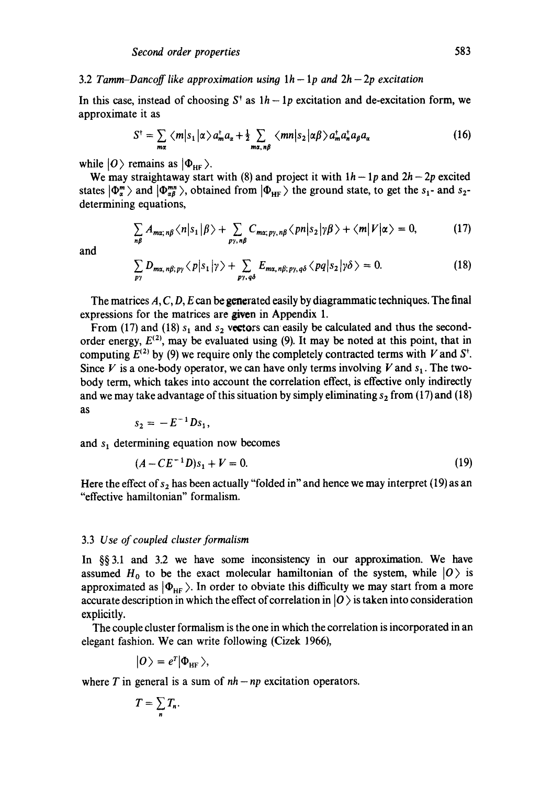#### 3.2 *Tamm-Dancoff like approximation using*  $1h - 1p$  and  $2h - 2p$  excitation

In this case, instead of choosing  $S^{\dagger}$  as  $1h - 1p$  excitation and de-excitation form, we approximate it as

$$
S^{\dagger} = \sum_{m\alpha} \langle m|s_1|\alpha\rangle a_m^{\dagger} a_{\alpha} + \frac{1}{2} \sum_{m\alpha, n\beta} \langle mn|s_2|\alpha\beta\rangle a_m^{\dagger} a_n^{\dagger} a_{\beta} a_{\alpha} \qquad (16)
$$

while  $|0\rangle$  remains as  $|\Phi_{HF}\rangle$ .

We may straightaway start with (8) and project it with  $1h - 1p$  and  $2h - 2p$  excited states  $|\Phi_{\alpha}^m\rangle$  and  $|\Phi_{\alpha\beta}^{mn}\rangle$ , obtained from  $|\Phi_{\text{HF}}\rangle$  the ground state, to get the s<sub>1</sub>- and s<sub>2</sub>determining equations,

$$
\sum_{n\beta} A_{m\alpha;\,n\beta} \langle n|s_1|\beta\rangle + \sum_{p\gamma,\,n\beta} C_{m\alpha;\,p\gamma,\,n\beta} \langle pn|s_2|\gamma\beta\rangle + \langle m|V|\alpha\rangle = 0, \tag{17}
$$

and

$$
\sum_{p\gamma} D_{m\alpha,\,n\beta;\,p\gamma} \langle p|s_1|\gamma\rangle + \sum_{p\gamma,\,q\delta} E_{m\alpha,\,n\beta;\,p\gamma,\,q\delta} \langle pq|s_2|\gamma\delta\rangle = 0. \tag{18}
$$

The matrices  $A, C, D, E$  can be generated easily by diagrammatic techniques. The final expressions for the matrices are given in Appendix 1.

From (17) and (18)  $s_1$  and  $s_2$  vectors can easily be calculated and thus the secondorder energy,  $E^{(2)}$ , may be evaluated using (9). It may be noted at this point, that in computing  $E^{(2)}$  by (9) we require only the completely contracted terms with V and  $S^{\dagger}$ . Since V is a one-body operator, we can have only terms involving V and  $s<sub>1</sub>$ . The twobody term, which takes into account the correlation effect, is effective only indirectly and we may take advantage of this situation by simply eliminating  $s_2$  from (17) and (18) as

$$
s_2=-E^{-1}Ds_1,
$$

and  $s_1$  determining equation now becomes

$$
(A - CE^{-1}D)s_1 + V = 0. \tag{19}
$$

Here the effect of  $s_2$  has been actually "folded in" and hence we may interpret (19) as an "effective hamiltonian" formalism.

### 3.3 *Use of coupled cluster formalism*

In §§3.1 and 3.2 we have some inconsistency in our approximation. We have assumed H<sub>0</sub> to be the exact molecular hamiltonian of the system, while  $|0\rangle$  is approximated as  $|\Phi_{HF}\rangle$ . In order to obviate this difficulty we may start from a more accurate description in which the effect of correlation in  $|0\rangle$  is taken into consideration explicitly.

The couple cluster formalism is the one in which the correlation is incorporated in an elegant fashion. We can write following (Cizek 1966),

$$
|O\rangle = e^T |\Phi_{\text{HF}}\rangle,
$$

where  $T$  in general is a sum of  $nh - np$  excitation operators.

$$
T=\sum_n T_n.
$$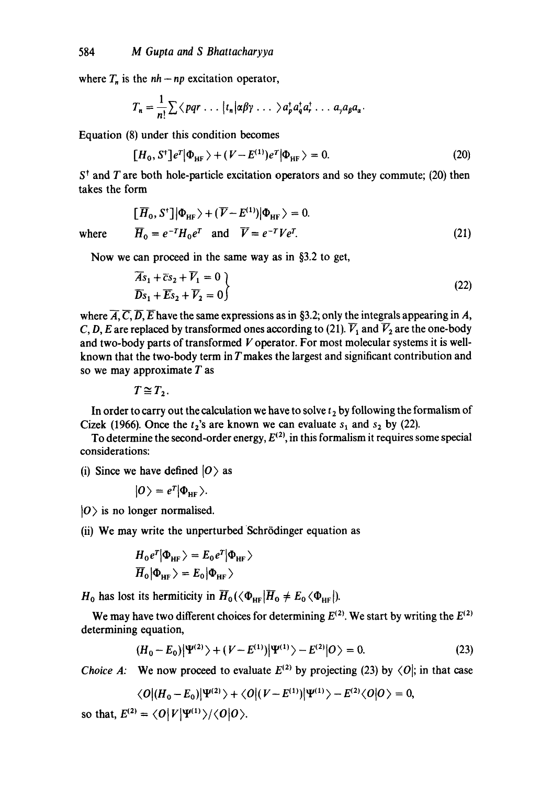where  $T_n$  is the  $nh - np$  excitation operator,

$$
T_n = \frac{1}{n!} \sum \langle pqr \ldots |t_n| \alpha \beta \gamma \ldots \rangle a_p^{\dagger} a_q^{\dagger} a_r^{\dagger} \ldots a_{\gamma} a_{\beta} a_{\alpha}.
$$

Equation (8) under this condition becomes

$$
[H_0, S^{\dagger}]e^T|\Phi_{\text{HF}}\rangle + (V - E^{(1)})e^T|\Phi_{\text{HF}}\rangle = 0. \tag{20}
$$

 $S<sup>†</sup>$  and T are both hole-particle excitation operators and so they commute; (20) then takes the form

$$
[\overline{H}_0, S^+] |\Phi_{HF}\rangle + (\overline{V} - E^{(1)}) |\Phi_{HF}\rangle = 0.
$$
  
where  $\overline{H}_0 = e^{-T} H_0 e^T$  and  $\overline{V} = e^{-T} V e^T$ . (21)

Now we can proceed in the same way as in §3.2 to get,

$$
\overline{As}_1 + \overline{c}s_2 + \overline{V}_1 = 0
$$
\n
$$
\overline{Ds}_1 + \overline{Es}_2 + \overline{V}_2 = 0
$$
\n(22)

where  $\overline{A}, \overline{C}, \overline{D}, \overline{E}$  have the same expressions as in §3.2; only the integrals appearing in A, C, D, E are replaced by transformed ones according to (21).  $\overline{V}_1$  and  $\overline{V}_2$  are the one-body and two-body parts of transformed V operator. For most molecular systems it is wellknown that the two-body term in  *makes the largest and significant contribution and* so we may approximate  $T$  as

 $T \cong T_2$ .

In order to carry out the calculation we have to solve  $t_2$  by following the formalism of Cizek (1966). Once the  $t_2$ 's are known we can evaluate  $s_1$  and  $s_2$  by (22).

To determine the second-order energy,  $E^{(2)}$ , in this formalism it requires some special considerations:

(i) Since we have defined  $|0\rangle$  as

$$
|0\rangle = e^T |\Phi_{HF}\rangle.
$$

 $|0\rangle$  is no longer normalised.

(ii) We may write the unperturbed Schrödinger equation as

$$
H_0 e^T |\Phi_{HF}\rangle = E_0 e^T |\Phi_{HF}\rangle
$$
  

$$
\overline{H}_0 |\Phi_{HF}\rangle = E_0 |\Phi_{HF}\rangle
$$

 $H_0$  has lost its hermiticity in  $\overline{H}_0(\langle \Phi_{HF} | \overline{H}_0 \neq E_0 \langle \Phi_{HF} | \rangle).$ 

We may have two different choices for determining  $E^{(2)}$ . We start by writing the  $E^{(2)}$ determining equation,

$$
(H_0 - E_0)|\Psi^{(2)}\rangle + (V - E^{(1)})|\Psi^{(1)}\rangle - E^{(2)}|0\rangle = 0.
$$
 (23)

*Choice A:* We now proceed to evaluate  $E^{(2)}$  by projecting (23) by  $\langle O_i$ ; in that case

$$
\langle O|(H_0-E_0)|\Psi^{(2)}\rangle+\langle O|(V-E^{(1)})|\Psi^{(1)}\rangle-E^{(2)}\langle O|O\rangle=0,
$$

so that,  $E^{(2)} = \langle 0 | V | \Psi^{(1)} \rangle / \langle 0 | 0 \rangle$ .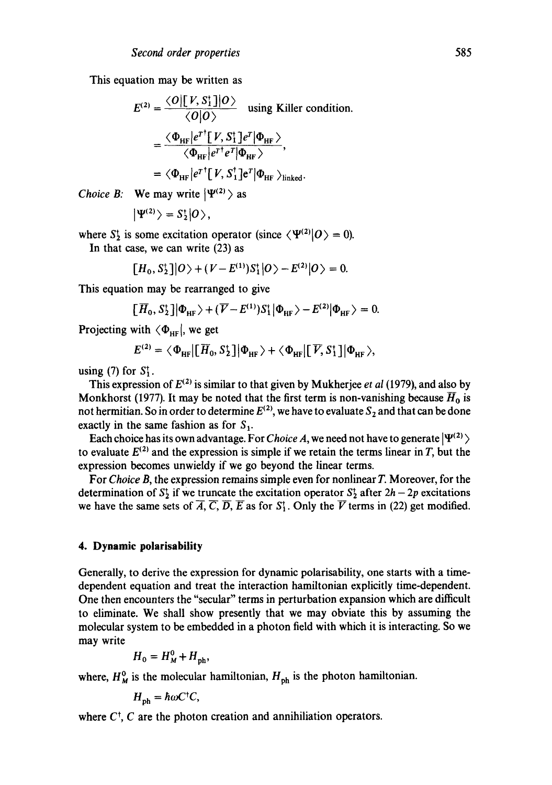This equation may be written as

$$
E^{(2)} = \frac{\langle O | [V, S_1^*] | O \rangle}{\langle O | O \rangle}
$$
 using Killer condition.  

$$
= \frac{\langle \Phi_{HF} | e^{T^*} [V, S_1^*] e^T | \Phi_{HF} \rangle}{\langle \Phi_{HF} | e^{T^*} e^T | \Phi_{HF} \rangle},
$$

$$
= \langle \Phi_{HF} | e^{T^*} [V, S_1^*] e^T | \Phi_{HF} \rangle_{\text{linked}}.
$$

*Choice B:* We may write  $|\Psi^{(2)}\rangle$  as

$$
\left|\Psi^{(2)}\right\rangle =S_{2}^{\dagger}|0\rangle ,
$$

where  $S_2^{\dagger}$  is some excitation operator (since  $\langle \Psi^{(2)} | O \rangle = 0$ ). In that case, we can write (23) as

$$
[H_0, S_2^{\dagger}]|O\rangle + (V - E^{(1)})S_1^{\dagger}|O\rangle - E^{(2)}|O\rangle = 0.
$$

This equation may be rearranged to give

$$
[\overline{H}_0, S_2^{\dagger}]|\Phi_{\text{HF}}\rangle + (\overline{V} - E^{(1)})S_1^{\dagger}|\Phi_{\text{HF}}\rangle - E^{(2)}|\Phi_{\text{HF}}\rangle = 0.
$$

Projecting with  $\langle \Phi_{HF} |$ , we get

$$
E^{(2)} = \langle \Phi_{\text{HF}} | [\overline{H}_0, S_2^{\dagger}] | \Phi_{\text{HF}} \rangle + \langle \Phi_{\text{HF}} | [\overline{V}, S_1^{\dagger}] | \Phi_{\text{HF}} \rangle,
$$

using (7) for  $S_1^{\dagger}$ .

This expression of  $E^{(2)}$  is similar to that given by Mukherjee *et al* (1979), and also by Monkhorst (1977). It may be noted that the first term is non-vanishing because  $\overline{H}_0$  is not hermitian. So in order to determine  $E^{(2)}$ , we have to evaluate  $S_2$  and that can be done exactly in the same fashion as for  $S_1$ .

Each choice has its own advantage. For *Choice A*, we need not have to generate  $|\Psi^{(2)}\rangle$ to evaluate  $E^{(2)}$  and the expression is simple if we retain the terms linear in T, but the expression becomes unwieldy if we go beyond the linear terms.

For *Choice B,* the expression remains simple even for nonlinear T. Moreover, for the determination of  $S_2^1$  if we truncate the excitation operator  $S_2^1$  after  $2h - 2p$  excitations we have the same sets of  $\overline{A}$ ,  $\overline{C}$ ,  $\overline{D}$ ,  $\overline{E}$  as for  $S_1^*$ . Only the  $\overline{V}$  terms in (22) get modified.

#### **4. Dynamic polarisability**

Generally, to derive the expression for dynamic polarisability, one starts with a timedependent equation and treat the interaction hamiltonian explicitly time-dependent. One then encounters the "secular" terms in perturbation expansion which are difficult to eliminate. We shall show presently that we may obviate this by assuming the molecular system to be embedded in a photon field with which it is interacting. So we may write

$$
H_0 = H_M^0 + H_{\text{ph}},
$$

where,  $H_M^0$  is the molecular hamiltonian,  $H_{\text{ph}}$  is the photon hamiltonian.

$$
H_{\rm ph} = \hbar \omega C^{\dagger} C,
$$

where  $C^{\dagger}$ ,  $C$  are the photon creation and annihiliation operators.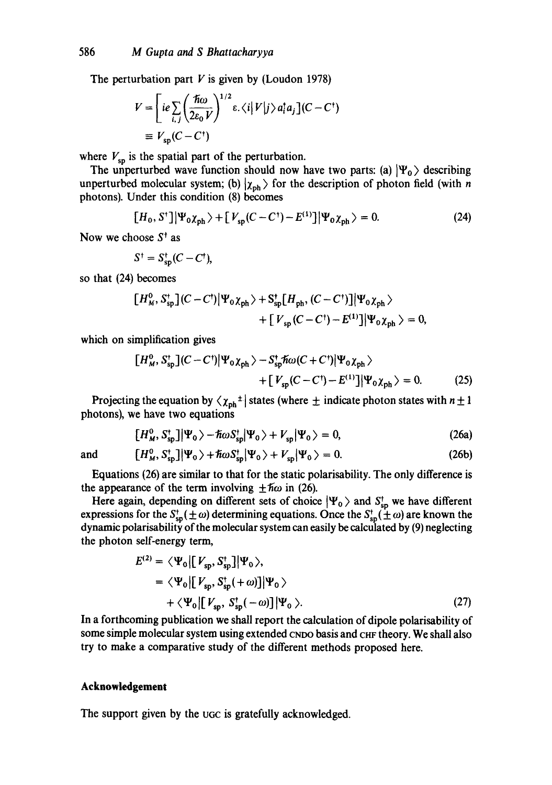The perturbation part  $V$  is given by (Loudon 1978)

$$
V = \left[ ie \sum_{i,j} \left( \frac{\hbar \omega}{2\varepsilon_0 V} \right)^{1/2} \varepsilon, \langle i | V | j \rangle a_i^{\dagger} a_j \right] (C - C^{\dagger})
$$
  
\n
$$
\equiv V_{sp} (C - C^{\dagger})
$$

where  $V_{\text{sp}}$  is the spatial part of the perturbation.

The unperturbed wave function should now have two parts: (a)  $|\Psi_0\rangle$  describing unperturbed molecular system; (b)  $|\chi_{\rm ph}\rangle$  for the description of photon field (with n photons). Under this condition (8) becomes

$$
[H_0, S^{\dagger}] |\Psi_0 \chi_{\text{ph}}\rangle + [V_{\text{sp}}(C - C^{\dagger}) - E^{(1)}] |\Psi_0 \chi_{\text{ph}}\rangle = 0.
$$
 (24)

Now we choose  $S^{\dagger}$  as

$$
S^{\dagger} = S_{\rm sp}^{\dagger} (C - C^{\dagger}),
$$

so that (24) becomes

$$
[H_{M}^{0}, S_{\rm sp}^{\dagger}](C - C^{\dagger})|\Psi_{0}\chi_{\rm ph}\rangle + S_{\rm sp}^{\dagger}[H_{\rm ph}, (C - C^{\dagger})]|\Psi_{0}\chi_{\rm ph}\rangle
$$
  
+ 
$$
[V_{\rm sp}(C - C^{\dagger}) - E^{(1)}]|\Psi_{0}\chi_{\rm ph}\rangle = 0,
$$

which on simplification gives

$$
\begin{aligned} \left[H_M^0, S_{\text{sp}}^{\dagger}\right] (C - C^{\dagger}) \left|\Psi_0 \chi_{\text{ph}}\right\rangle - S_{\text{sp}}^{\dagger} \hslash \omega (C + C^{\dagger}) \left|\Psi_0 \chi_{\text{ph}}\right\rangle \\ + \left[V_{\text{sp}} (C - C^{\dagger}) - E^{(1)}\right] \left|\Psi_0 \chi_{\text{ph}}\right\rangle = 0. \end{aligned} \tag{25}
$$

Projecting the equation by  $\langle \chi_{ph}^{\dagger} |$  states (where  $\pm$  indicate photon states with  $n \pm 1$ photons), we have two equations

$$
[H_{\mathcal{M}}^0, S_{\text{sp}}^{\dagger}]|\Psi_0\rangle - \hbar \omega S_{\text{sp}}^{\dagger}|\Psi_0\rangle + V_{\text{sp}}|\Psi_0\rangle = 0, \qquad (26a)
$$

and  $[H_M^0, S_{\text{sn}}^+] |\Psi_0\rangle + \hbar \omega S_{\text{sn}}^+ |\Psi_0\rangle + V_{\text{sn}} |\Psi_0\rangle = 0.$  (26b)

Equations (26) are similar to that for the static polarisability. The only difference is the appearance of the term involving  $\pm \hbar \omega$  in (26).

Here again, depending on different sets of choice  $|\Psi_0\rangle$  and  $S_{\text{sp}}^{\dagger}$  we have different expressions for the  $S_{\rm so}^{\dagger}(\pm \omega)$  determining equations. Once the  $S_{\rm so}^{\dagger}(\pm \omega)$  are known the dynamic polarisability of the molecular system can easily be calculated by (9) neglecting the photon self-energy term,

$$
E^{(2)} = \langle \Psi_0 | [V_{\rm sp}, S_{\rm sp}^{\dagger}] | \Psi_0 \rangle,
$$
  
=  $\langle \Psi_0 | [V_{\rm sp}, S_{\rm sp}^{\dagger}(+\omega)] | \Psi_0 \rangle$   
+  $\langle \Psi_0 | [V_{\rm sp}, S_{\rm sp}^{\dagger}(-\omega)] | \Psi_0 \rangle.$  (27)

In a forthcoming publication we shall report the calculation of dipole polarisability of some simple molecular system using extended CNDO basis and CHF theory. We shall also try to make a comparative study of the different methods proposed here.

### **Acknowledgement**

The support given by the ucc is gratefully acknowledged.